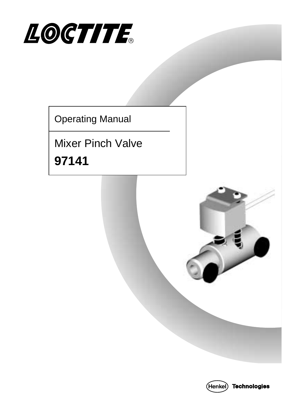

Operating Manual

Mixer Pinch Valve **97141** 



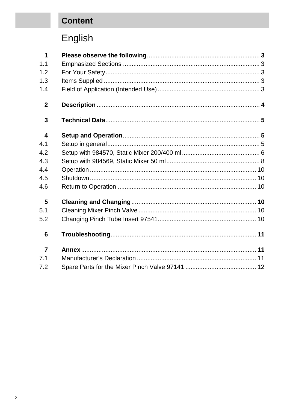# **Content**

# English

| 1              |  |
|----------------|--|
| 1.1            |  |
| 1.2            |  |
| 1.3            |  |
| 1.4            |  |
| $\mathbf{2}$   |  |
| 3              |  |
| 4              |  |
| 4.1            |  |
| 4.2            |  |
| 4.3            |  |
| 4.4            |  |
| 4.5            |  |
| 4.6            |  |
| 5              |  |
| 5.1            |  |
| 5.2            |  |
| 6              |  |
| $\overline{7}$ |  |
| 7.1            |  |
| 7.2            |  |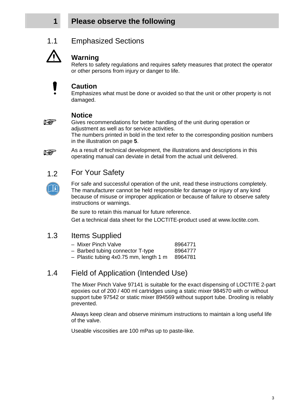### **1 Please observe the following**





#### **Warning**

Refers to safety regulations and requires safety measures that protect the operator or other persons from injury or danger to life.



#### **Caution**

Emphasizes what must be done or avoided so that the unit or other property is not damaged.



#### **Notice**

Gives recommendations for better handling of the unit during operation or adjustment as well as for service activities.

The numbers printed in bold in the text refer to the corresponding position numbers in the illustration on page **5**.

As a result of technical development, the illustrations and descriptions in this operating manual can deviate in detail from the actual unit delivered.

### 1.2 For Your Safety



For safe and successful operation of the unit, read these instructions completely. The manufacturer cannot be held responsible for damage or injury of any kind because of misuse or improper application or because of failure to observe safety instructions or warnings.

Be sure to retain this manual for future reference.

Get a technical data sheet for the LOCTITE-product used at www.loctite.com.

#### 1.3 Items Supplied

- Mixer Pinch Valve 8964771
	-
- Barbed tubing connector T-type 8964777
- $-$  Plastic tubing 4x0.75 mm, length 1 m 8964781

#### 1.4 Field of Application (Intended Use)

 The Mixer Pinch Valve 97141 is suitable for the exact dispensing of LOCTITE 2-part epoxies out of 200 / 400 ml cartridges using a static mixer 984570 with or without support tube 97542 or static mixer 894569 without support tube. Drooling is reliably prevented.

Always keep clean and observe minimum instructions to maintain a long useful life of the valve.

Useable viscosities are 100 mPas up to paste-like.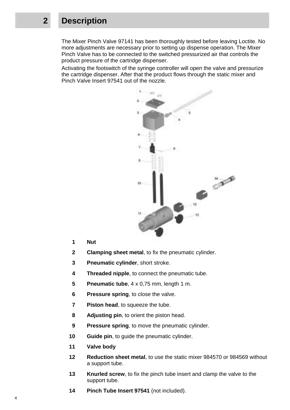### **2 Description**

 The Mixer Pinch Valve 97141 has been thoroughly tested before leaving Loctite. No more adjustments are necessary prior to setting up dispense operation. The Mixer Pinch Valve has to be connected to the switched pressurized air that controls the product pressure of the cartridge dispenser.

Activating the footswitch of the syringe controller will open the valve and pressurize the cartridge dispenser. After that the product flows through the static mixer and Pinch Valve Insert 97541 out of the nozzle.



- **1 Nut**
- **2 Clamping sheet metal**, to fix the pneumatic cylinder.
- **3 Pneumatic cylinder**, short stroke.
- **4 Threaded nipple**, to connect the pneumatic tube.
- **5 Pneumatic tube**, 4 x 0,75 mm, length 1 m.
- **6** Pressure spring, to close the valve.
- **7** Piston head, to squeeze the tube.
- **8 Adjusting pin**, to orient the piston head.
- **9** Pressure spring, to move the pneumatic cylinder.
- **10 Guide pin**, to guide the pneumatic cylinder.
- **11 Valve body**
- **12 Reduction sheet metal**, to use the static mixer 984570 or 984569 without a support tube.
- **13** Knurled screw, to fix the pinch tube insert and clamp the valve to the support tube.
- **14 Pinch Tube Insert 97541** (not included).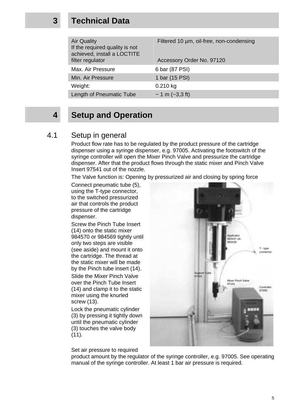### **3 Technical Data**

| <b>Air Quality</b><br>If the required quality is not<br>achieved, install a LOCTITE<br>filter regulator | Filtered 10 um, oil-free, non-condensing<br>Accessory Order No. 97120 |
|---------------------------------------------------------------------------------------------------------|-----------------------------------------------------------------------|
| Max. Air Pressure                                                                                       | 6 bar (87 PSI)                                                        |
| Min. Air Pressure                                                                                       | 1 bar (15 PSI)                                                        |
| Weight:                                                                                                 | $0.210$ kg                                                            |
| Length of Pneumatic Tube                                                                                | $\sim$ 1 m ( $\sim$ 3,3 ft)                                           |
|                                                                                                         |                                                                       |

### **4 Setup and Operation**

#### 4.1 Setup in general

 Product flow rate has to be regulated by the product pressure of the cartridge dispenser using a syringe dispenser, e.g. 97005. Activating the footswitch of the syringe controller will open the Mixer Pinch Valve and pressurize the cartridge dispenser. After that the product flows through the static mixer and Pinch Valve Insert 97541 out of the nozzle.

The Valve function is: Opening by pressurized air and closing by spring force

 Connect pneumatic tube (5), using the T-type connector, to the switched pressurized air that controls the product pressure of the cartridge dispenser.

Screw the Pinch Tube Insert (14) onto the static mixer 984570 or 984569 tightly until only two steps are visible (see aside) and mount it onto the cartridge. The thread at the static mixer will be made by the Pinch tube insert (14).

Slide the Mixer Pinch Valve over the Pinch Tube Insert (14) and clamp it to the static mixer using the knurled screw (13).

Lock the pneumatic cylinder (3) by pressing it tightly down until the pneumatic cylinder (3) touches the valve body  $(11)$ .

Set air pressure to required



product amount by the regulator of the syringe controller, e.g. 97005. See operating manual of the syringe controller. At least 1 bar air pressure is required.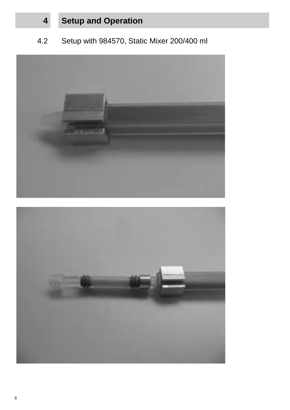4.2 Setup with 984570, Static Mixer 200/400 ml



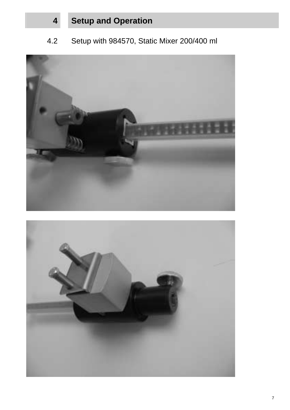4.2 Setup with 984570, Static Mixer 200/400 ml



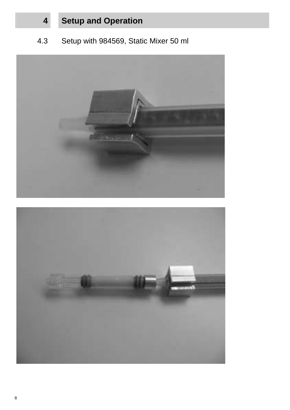## 4.3 Setup with 984569, Static Mixer 50 ml



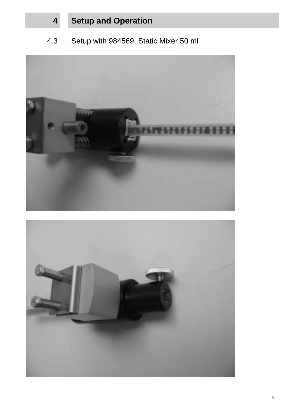### 4.3 Setup with 984569, Static Mixer 50 ml



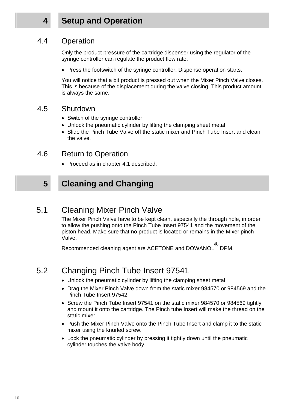### 4.4 Operation

 Only the product pressure of the cartridge dispenser using the regulator of the syringe controller can regulate the product flow rate.

• Press the footswitch of the syringe controller. Dispense operation starts.

You will notice that a bit product is pressed out when the Mixer Pinch Valve closes. This is because of the displacement during the valve closing. This product amount is always the same.

#### 4.5 Shutdown

- Switch of the syringe controller
- Unlock the pneumatic cylinder by lifting the clamping sheet metal
- Slide the Pinch Tube Valve off the static mixer and Pinch Tube Insert and clean the valve.

### 4.6 Return to Operation

• Proceed as in chapter 4.1 described.

# **5 Cleaning and Changing**

### 5.1 Cleaning Mixer Pinch Valve

 The Mixer Pinch Valve have to be kept clean, especially the through hole, in order to allow the pushing onto the Pinch Tube Insert 97541 and the movement of the piston head. Make sure that no product is located or remains in the Mixer pinch Valve.

Recommended cleaning agent are ACETONE and DOWANOL<sup>®</sup> DPM.

# 5.2 Changing Pinch Tube Insert 97541

- Unlock the pneumatic cylinder by lifting the clamping sheet metal
- Drag the Mixer Pinch Valve down from the static mixer 984570 or 984569 and the Pinch Tube Insert 97542.
- Screw the Pinch Tube Insert 97541 on the static mixer 984570 or 984569 tightly and mount it onto the cartridge. The Pinch tube Insert will make the thread on the static mixer.
- Push the Mixer Pinch Valve onto the Pinch Tube Insert and clamp it to the static mixer using the knurled screw.
- Lock the pneumatic cylinder by pressing it tightly down until the pneumatic cylinder touches the valve body.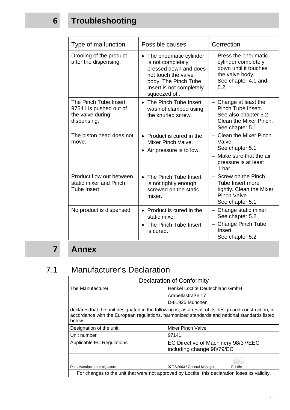# **6 Troubleshooting**

| Type of malfunction                                                                | Possible causes                                                                                                                                                  | Correction                                                                                                             |
|------------------------------------------------------------------------------------|------------------------------------------------------------------------------------------------------------------------------------------------------------------|------------------------------------------------------------------------------------------------------------------------|
| Drooling of the product<br>after the dispensing.                                   | The pneumatic cylinder<br>is not completely<br>pressed down and does<br>not touch the valve<br>body. The Pinch Tube<br>Insert is not completely<br>squeezed off. | - Press the pneumatic<br>cylinder completely<br>down until it touches<br>the valve body.<br>See chapter 4.1 and<br>5.2 |
| The Pinch Tube Insert<br>97541 is pushed out of<br>the valve during<br>dispensing. | • The Pinch Tube Insert<br>was not clamped using<br>the knurled screw.                                                                                           | Change at least the<br>Pinch Tube Insert.<br>See also chapter 5.2<br>Clean the Mixer Pinch.<br>See chapter 5.1         |
| The piston head does not<br>move.                                                  | • Product is cured in the<br>Mixer Pinch Valve.<br>• Air pressure is to low.                                                                                     | - Clean the Mixer Pinch<br>Valve.<br>See chapter 5.1<br>- Make sure that the air<br>pressure is at least<br>1 bar      |
| Product flow out between<br>static mixer and Pinch<br>Tube Insert.                 | • The Pinch Tube Insert<br>is not tightly enough<br>screwed on the static<br>mixer.                                                                              | - Screw on the Pinch<br>Tube Insert more<br>tightly. Clean the Mixer<br>Pinch Valve.<br>See chapter 5.1                |
| No product is dispensed.                                                           | • Product is cured in the<br>static mixer.<br>• The Pinch Tube Insert<br>is cured.                                                                               | - Change static mixer.<br>See chapter 5.2<br>- Change Pinch Tube<br>Insert.<br>See chapter 5.2                         |

# **7 Annex**

# 7.1 Manufacturer's Declaration

| Declaration of Conformity                                                                                                                                                                                       |                                                                  |  |  |
|-----------------------------------------------------------------------------------------------------------------------------------------------------------------------------------------------------------------|------------------------------------------------------------------|--|--|
| The Manufacturer                                                                                                                                                                                                | Henkel Loctite Deutschland GmbH                                  |  |  |
|                                                                                                                                                                                                                 | Arabellastraße 17                                                |  |  |
|                                                                                                                                                                                                                 | D-81925 München                                                  |  |  |
| declares that the unit designated in the following is, as a result of its design and construction, in<br>accordance with the European regulations, harmonized standards and national standards listed<br>below. |                                                                  |  |  |
| Designation of the unit                                                                                                                                                                                         | Mixer Pinch Valve                                                |  |  |
| Unit number                                                                                                                                                                                                     | 97141                                                            |  |  |
| Applicable EC Regulations                                                                                                                                                                                       | EC Directive of Machinery 98/37/EEC<br>including change 98/79/EC |  |  |
| Date/Manufacturer's signature                                                                                                                                                                                   | 07/25/2003 / General Manager<br>F. Löhr                          |  |  |
| For changes to the unit that were not approved by Loctite, this declaration loses its validity.                                                                                                                 |                                                                  |  |  |